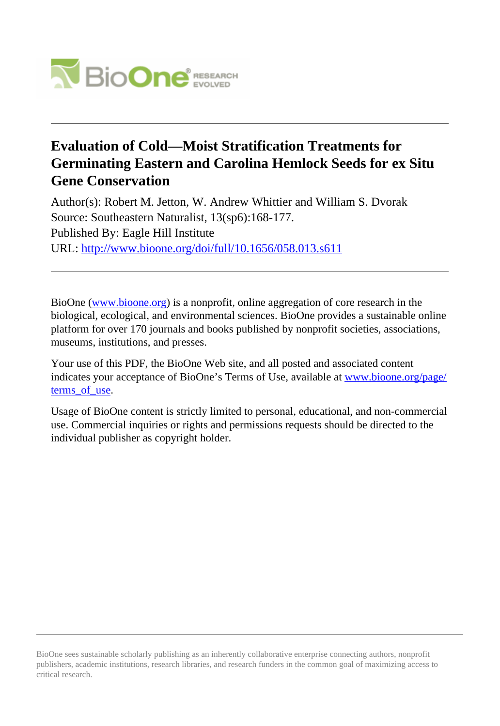

# **Evaluation of Cold—Moist Stratification Treatments for Germinating Eastern and Carolina Hemlock Seeds for ex Situ Gene Conservation**

Author(s): Robert M. Jetton, W. Andrew Whittier and William S. Dvorak Source: Southeastern Naturalist, 13(sp6):168-177. Published By: Eagle Hill Institute URL: <http://www.bioone.org/doi/full/10.1656/058.013.s611>

BioOne [\(www.bioone.org\)](http://www.bioone.org) is a nonprofit, online aggregation of core research in the biological, ecological, and environmental sciences. BioOne provides a sustainable online platform for over 170 journals and books published by nonprofit societies, associations, museums, institutions, and presses.

Your use of this PDF, the BioOne Web site, and all posted and associated content indicates your acceptance of BioOne's Terms of Use, available at [www.bioone.org/page/](http://www.bioone.org/page/terms_of_use) terms of use.

Usage of BioOne content is strictly limited to personal, educational, and non-commercial use. Commercial inquiries or rights and permissions requests should be directed to the individual publisher as copyright holder.

BioOne sees sustainable scholarly publishing as an inherently collaborative enterprise connecting authors, nonprofit publishers, academic institutions, research libraries, and research funders in the common goal of maximizing access to critical research.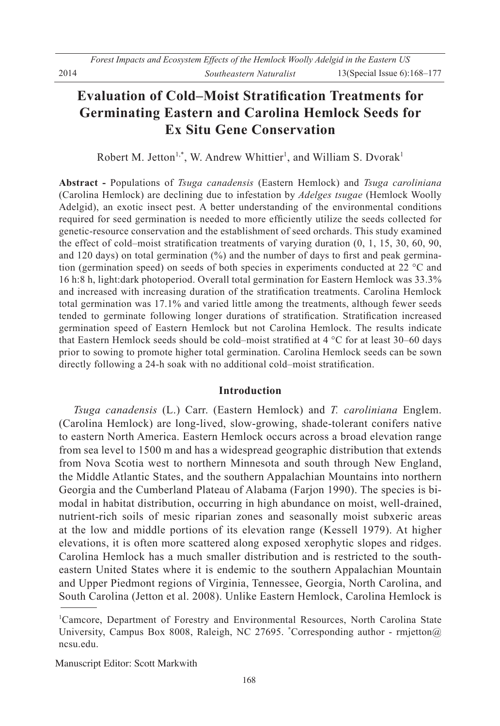## **Evaluation of Cold–Moist Stratification Treatments for Germinating Eastern and Carolina Hemlock Seeds for Ex Situ Gene Conservation**

Robert M. Jetton<sup>1,\*</sup>, W. Andrew Whittier<sup>1</sup>, and William S. Dvorak<sup>1</sup>

**Abstract** - Populations of *Tsuga canadensis* (Eastern Hemlock) and *Tsuga caroliniana* (Carolina Hemlock) are declining due to infestation by *Adelges tsugae* (Hemlock Woolly Adelgid), an exotic insect pest. A better understanding of the environmental conditions required for seed germination is needed to more efficiently utilize the seeds collected for genetic-resource conservation and the establishment of seed orchards. This study examined the effect of cold–moist stratification treatments of varying duration  $(0, 1, 15, 30, 60, 90, 1)$ and 120 days) on total germination  $(\%)$  and the number of days to first and peak germination (germination speed) on seeds of both species in experiments conducted at 22 °C and 16 h:8 h, light:dark photoperiod. Overall total germination for Eastern Hemlock was 33.3% and increased with increasing duration of the stratification treatments. Carolina Hemlock total germination was 17.1% and varied little among the treatments, although fewer seeds tended to germinate following longer durations of stratification. Stratification increased germination speed of Eastern Hemlock but not Carolina Hemlock. The results indicate that Eastern Hemlock seeds should be cold-moist stratified at  $4^{\circ}$ C for at least 30-60 days prior to sowing to promote higher total germination. Carolina Hemlock seeds can be sown directly following a 24-h soak with no additional cold–moist stratification.

## **Introduction**

*Tsuga canadensis* (L.) Carr. (Eastern Hemlock) and *T. caroliniana* Englem. (Carolina Hemlock) are long-lived, slow-growing, shade-tolerant conifers native to eastern North America. Eastern Hemlock occurs across a broad elevation range from sea level to 1500 m and has a widespread geographic distribution that extends from Nova Scotia west to northern Minnesota and south through New England, the Middle Atlantic States, and the southern Appalachian Mountains into northern Georgia and the Cumberland Plateau of Alabama (Farjon 1990). The species is bimodal in habitat distribution, occurring in high abundance on moist, well-drained, nutrient-rich soils of mesic riparian zones and seasonally moist subxeric areas at the low and middle portions of its elevation range (Kessell 1979). At higher elevations, it is often more scattered along exposed xerophytic slopes and ridges. Carolina Hemlock has a much smaller distribution and is restricted to the southeastern United States where it is endemic to the southern Appalachian Mountain and Upper Piedmont regions of Virginia, Tennessee, Georgia, North Carolina, and South Carolina (Jetton et al. 2008). Unlike Eastern Hemlock, Carolina Hemlock is

Manuscript Editor: Scott Markwith

<sup>&</sup>lt;sup>1</sup>Camcore, Department of Forestry and Environmental Resources, North Carolina State University, Campus Box 8008, Raleigh, NC 27695. \*Corresponding author - rmjetton@ ncsu.edu.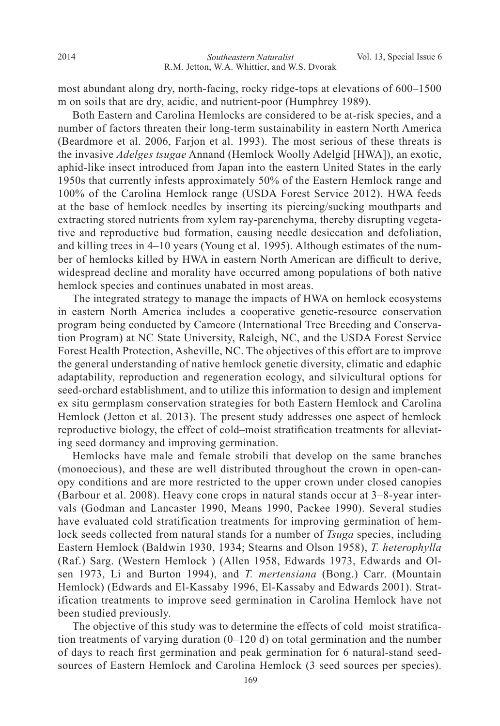most abundant along dry, north-facing, rocky ridge-tops at elevations of  $600-1500$ m on soils that are dry, acidic, and nutrient-poor (Humphrey 1989).

 Both Eastern and Carolina Hemlocks are considered to be at-risk species, and a number of factors threaten their long-term sustainability in eastern North America (Beardmore et al. 2006, Farjon et al. 1993). The most serious of these threats is the invasive *Adelges tsugae* Annand (Hemlock Woolly Adelgid [HWA]), an exotic, aphid-like insect introduced from Japan into the eastern United States in the early 1950s that currently infests approximately 50% of the Eastern Hemlock range and 100% of the Carolina Hemlock range (USDA Forest Service 2012). HWA feeds at the base of hemlock needles by inserting its piercing/sucking mouthparts and extracting stored nutrients from xylem ray-parenchyma, thereby disrupting vegetative and reproductive bud formation, causing needle desiccation and defoliation, and killing trees in  $4-10$  years (Young et al. 1995). Although estimates of the number of hemlocks killed by HWA in eastern North American are difficult to derive, widespread decline and morality have occurred among populations of both native hemlock species and continues unabated in most areas.

 The integrated strategy to manage the impacts of HWA on hemlock ecosystems in eastern North America includes a cooperative genetic-resource conservation program being conducted by Camcore (International Tree Breeding and Conservation Program) at NC State University, Raleigh, NC, and the USDA Forest Service Forest Health Protection, Asheville, NC. The objectives of this effort are to improve the general understanding of native hemlock genetic diversity, climatic and edaphic adaptability, reproduction and regeneration ecology, and silvicultural options for seed-orchard establishment, and to utilize this information to design and implement ex situ germplasm conservation strategies for both Eastern Hemlock and Carolina Hemlock (Jetton et al. 2013). The present study addresses one aspect of hemlock reproductive biology, the effect of cold–moist stratification treatments for alleviating seed dormancy and improving germination.

 Hemlocks have male and female strobili that develop on the same branches (monoecious), and these are well distributed throughout the crown in open-canopy conditions and are more restricted to the upper crown under closed canopies (Barbour et al. 2008). Heavy cone crops in natural stands occur at  $3-8$ -year intervals (Godman and Lancaster 1990, Means 1990, Packee 1990). Several studies have evaluated cold stratification treatments for improving germination of hemlock seeds collected from natural stands for a number of *Tsuga* species, including Eastern Hemlock (Baldwin 1930, 1934; Stearns and Olson 1958), T. heterophylla (Raf.) Sarg. (Western Hemlock) (Allen 1958, Edwards 1973, Edwards and Olsen 1973, Li and Burton 1994), and *T. mertensiana* (Bong.) Carr. (Mountain Hemlock) (Edwards and El-Kassaby 1996, El-Kassaby and Edwards 2001). Stratification treatments to improve seed germination in Carolina Hemlock have not been studied previously.

The objective of this study was to determine the effects of cold–moist stratification treatments of varying duration  $(0-120 d)$  on total germination and the number of days to reach first germination and peak germination for 6 natural-stand seedsources of Eastern Hemlock and Carolina Hemlock (3 seed sources per species).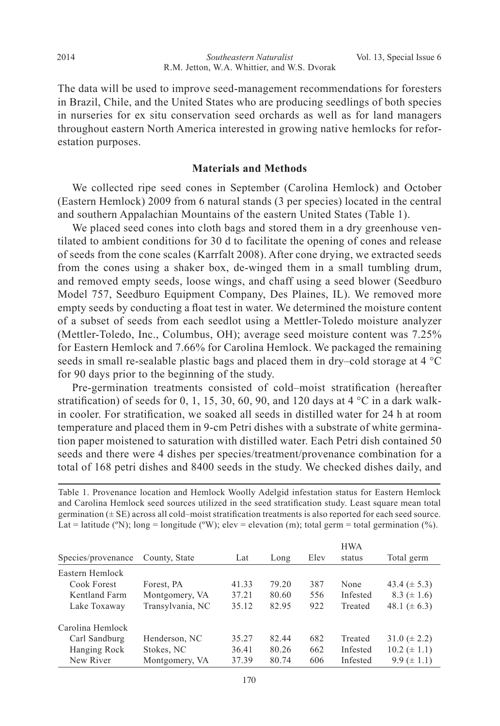The data will be used to improve seed-management recommendations for foresters in Brazil, Chile, and the United States who are producing seedlings of both species in nurseries for ex situ conservation seed orchards as well as for land managers throughout eastern North America interested in growing native hemlocks for reforestation purposes.

## **Materials and Methods**

We collected ripe seed cones in September (Carolina Hemlock) and October (Eastern Hemlock) 2009 from 6 natural stands (3 per species) located in the central and southern Appalachian Mountains of the eastern United States (Table 1).

 We placed seed cones into cloth bags and stored them in a dry greenhouse ventilated to ambient conditions for 30 d to facilitate the opening of cones and release of seeds from the cone scales (Karrfalt 2008). After cone drying, we extracted seeds from the cones using a shaker box, de-winged them in a small tumbling drum, and removed empty seeds, loose wings, and chaff using a seed blower (Seedburo Model 757, Seedburo Equipment Company, Des Plaines, IL). We removed more empty seeds by conducting a float test in water. We determined the moisture content of a subset of seeds from each seedlot using a Mettler-Toledo moisture analyzer (Mettler-Toledo, Inc., Columbus, OH); average seed moisture content was 7.25% for Eastern Hemlock and 7.66% for Carolina Hemlock. We packaged the remaining seeds in small re-sealable plastic bags and placed them in dry–cold storage at 4  $^{\circ}C$ for 90 days prior to the beginning of the study.

Pre-germination treatments consisted of cold-moist stratification (hereafter stratification) of seeds for 0, 1, 15, 30, 60, 90, and 120 days at 4  $^{\circ}$ C in a dark walkin cooler. For stratification, we soaked all seeds in distilled water for 24 h at room temperature and placed them in 9-cm Petri dishes with a substrate of white germination paper moistened to saturation with distilled water. Each Petri dish contained 50 seeds and there were 4 dishes per species/treatment/provenance combination for a total of 168 petri dishes and 8400 seeds in the study. We checked dishes daily, and

Table 1. Provenance location and Hemlock Woolly Adelgid infestation status for Eastern Hemlock and Carolina Hemlock seed sources utilized in the seed stratification study. Least square mean total germination  $(\pm S E)$  across all cold-moist stratification treatments is also reported for each seed source. Lat = latitude (°N); long = longitude (°W); elev = elevation (m); total germ = total germination (%).

|                    |                  |       |       |      | <b>HWA</b> |                   |
|--------------------|------------------|-------|-------|------|------------|-------------------|
| Species/provenance | County, State    | Lat   | Long  | Elev | status     | Total germ        |
| Eastern Hemlock    |                  |       |       |      |            |                   |
| Cook Forest        | Forest, PA       | 41.33 | 79.20 | 387  | None       | 43.4 $(\pm 5.3)$  |
| Kentland Farm      | Montgomery, VA   | 37.21 | 80.60 | 556  | Infested   | $8.3 (\pm 1.6)$   |
| Lake Toxaway       | Transylvania, NC | 35.12 | 82.95 | 922  | Treated    | 48.1 ( $\pm$ 6.3) |
| Carolina Hemlock   |                  |       |       |      |            |                   |
| Carl Sandburg      | Henderson, NC    | 35.27 | 82.44 | 682  | Treated    | $31.0 (\pm 2.2)$  |
| Hanging Rock       | Stokes, NC       | 36.41 | 80.26 | 662  | Infested   | $10.2 (\pm 1.1)$  |
| New River          | Montgomery, VA   | 37.39 | 80.74 | 606  | Infested   | $9.9 \ (\pm 1.1)$ |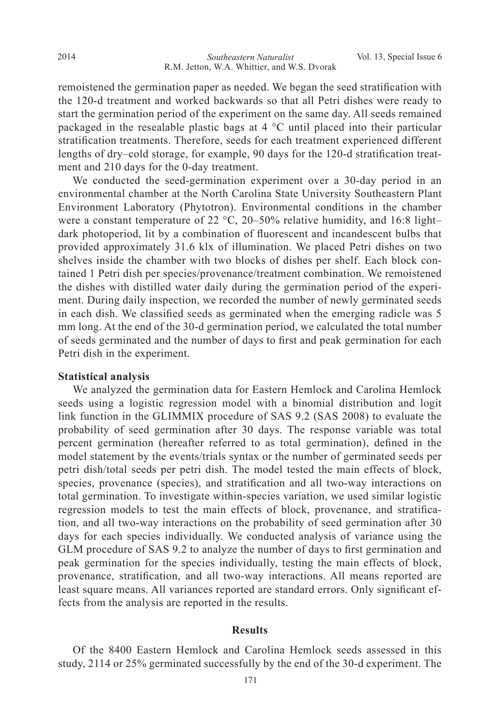remoistened the germination paper as needed. We began the seed stratification with the 120-d treatment and worked backwards so that all Petri dishes were ready to start the germination period of the experiment on the same day. All seeds remained packaged in the resealable plastic bags at  $4^{\circ}$ C until placed into their particular stratification treatments. Therefore, seeds for each treatment experienced different lengths of dry-cold storage, for example, 90 days for the 120-d stratification treatment and  $210$  days for the 0-day treatment.

We conducted the seed-germination experiment over a 30-day period in an environmental chamber at the North Carolina State University Southeastern Plant Environment Laboratory (Phytotron). Environmental conditions in the chamber were a constant temperature of 22  $\degree$ C, 20–50% relative humidity, and 16:8 lightdark photoperiod, lit by a combination of fluorescent and incandescent bulbs that provided approximately 31.6 klx of illumination. We placed Petri dishes on two shelves inside the chamber with two blocks of dishes per shelf. Each block contained 1 Petri dish per species/provenance/treatment combination. We remoistened the dishes with distilled water daily during the germination period of the experiment. During daily inspection, we recorded the number of newly germinated seeds in each dish. We classified seeds as germinated when the emerging radicle was 5 mm long. At the end of the 30-d germination period, we calculated the total number of seeds germinated and the number of days to first and peak germination for each Petri dish in the experiment.

#### **Statistical analysis**

We analyzed the germination data for Eastern Hemlock and Carolina Hemlock seeds using a logistic regression model with a binomial distribution and logit link function in the GLIMMIX procedure of SAS  $9.2$  (SAS 2008) to evaluate the probability of seed germination after 30 days. The response variable was total percent germination (hereafter referred to as total germination), defined in the model statement by the events/trials syntax or the number of germinated seeds per petri dish/total seeds per petri dish. The model tested the main effects of block, species, provenance (species), and stratification and all two-way interactions on total germination. To investigate within-species variation, we used similar logistic regression models to test the main effects of block, provenance, and stratification, and all two-way interactions on the probability of seed germination after 30 days for each species individually. We conducted analysis of variance using the GLM procedure of SAS 9.2 to analyze the number of days to first germination and peak germination for the species individually, testing the main effects of block, provenance, stratification, and all two-way interactions. All means reported are least square means. All variances reported are standard errors. Only significant effects from the analysis are reported in the results.

## **Results**

Of the 8400 Eastern Hemlock and Carolina Hemlock seeds assessed in this study, 2114 or  $25\%$  germinated successfully by the end of the 30-d experiment. The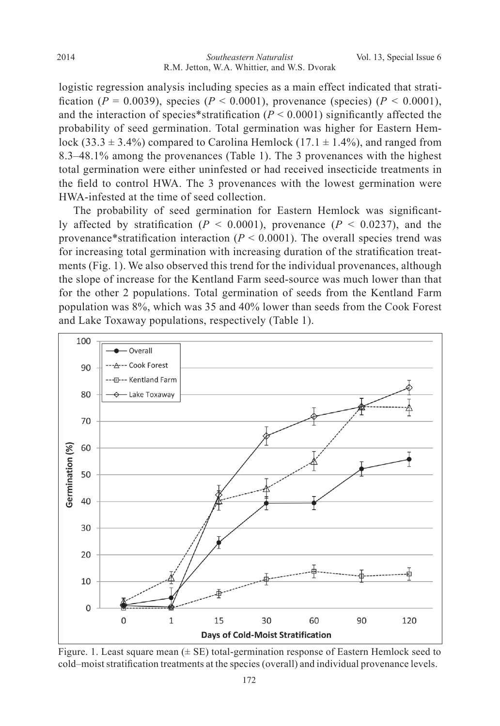logistic regression analysis including species as a main effect indicated that strati fication ( $P = 0.0039$ ), species ( $P < 0.0001$ ), provenance (species) ( $P < 0.0001$ ), and the interaction of species\*stratification ( $P < 0.0001$ ) significantly affected the probability of seed germination. Total germination was higher for Eastern Hemlock (33.3  $\pm$  3.4%) compared to Carolina Hemlock (17.1  $\pm$  1.4%), and ranged from 8.3–48.1% among the provenances (Table 1). The 3 provenances with the highest total germination were either uninfested or had received insecticide treatments in the field to control HWA. The 3 provenances with the lowest germination were HWA-infested at the time of seed collection.

The probability of seed germination for Eastern Hemlock was significantly affected by stratification ( $P < 0.0001$ ), provenance ( $P < 0.0237$ ), and the provenance\*stratification interaction ( $P < 0.0001$ ). The overall species trend was for increasing total germination with increasing duration of the stratification treatments (Fig. 1). We also observed this trend for the individual provenances, although the slope of increase for the Kentland Farm seed-source was much lower than that for the other 2 populations. Total germination of seeds from the Kentland Farm population was  $8\%$ , which was 35 and 40% lower than seeds from the Cook Forest and Lake Toxaway populations, respectively (Table 1).



Figure. 1. Least square mean  $(\pm S)$  total-germination response of Eastern Hemlock seed to cold–moist stratification treatments at the species (overall) and individual provenance levels.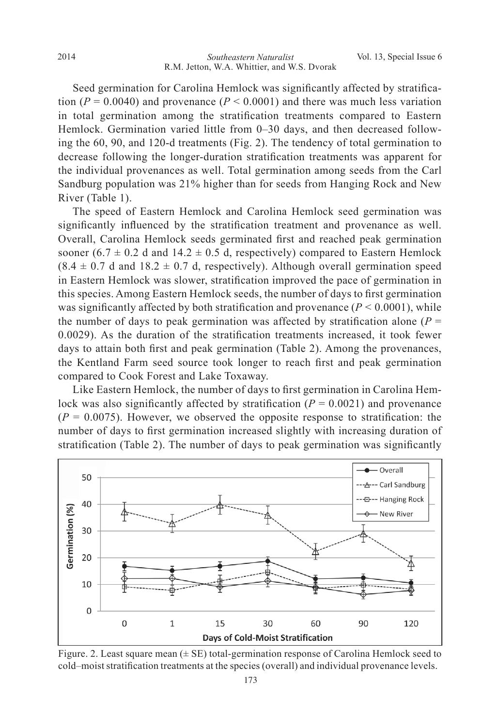Seed germination for Carolina Hemlock was significantly affected by stratification ( $P = 0.0040$ ) and provenance ( $P < 0.0001$ ) and there was much less variation in total germination among the stratification treatments compared to Eastern Hemlock. Germination varied little from 0–30 days, and then decreased following the  $60$ ,  $90$ , and  $120$ -d treatments (Fig. 2). The tendency of total germination to decrease following the longer-duration stratification treatments was apparent for the individual provenances as well. Total germination among seeds from the Carl Sandburg population was 21% higher than for seeds from Hanging Rock and New River (Table 1).

 The speed of Eastern Hemlock and Carolina Hemlock seed germination was significantly influenced by the stratification treatment and provenance as well. Overall, Carolina Hemlock seeds germinated first and reached peak germination sooner (6.7  $\pm$  0.2 d and 14.2  $\pm$  0.5 d, respectively) compared to Eastern Hemlock  $(8.4 \pm 0.7 \text{ d} \text{ and } 18.2 \pm 0.7 \text{ d}$ , respectively). Although overall germination speed in Eastern Hemlock was slower, stratification improved the pace of germination in this species. Among Eastern Hemlock seeds, the number of days to first germination was significantly affected by both stratification and provenance  $(P < 0.0001)$ , while the number of days to peak germination was affected by stratification alone ( $P =$  $0.0029$ ). As the duration of the stratification treatments increased, it took fewer days to attain both first and peak germination (Table 2). Among the provenances, the Kentland Farm seed source took longer to reach first and peak germination compared to Cook Forest and Lake Toxaway.

Like Eastern Hemlock, the number of days to first germination in Carolina Hemlock was also significantly affected by stratification ( $P = 0.0021$ ) and provenance  $(P = 0.0075)$ . However, we observed the opposite response to stratification: the number of days to first germination increased slightly with increasing duration of stratification (Table 2). The number of days to peak germination was significantly



Figure. 2. Least square mean  $(\pm S E)$  total-germination response of Carolina Hemlock seed to cold–moist stratification treatments at the species (overall) and individual provenance levels.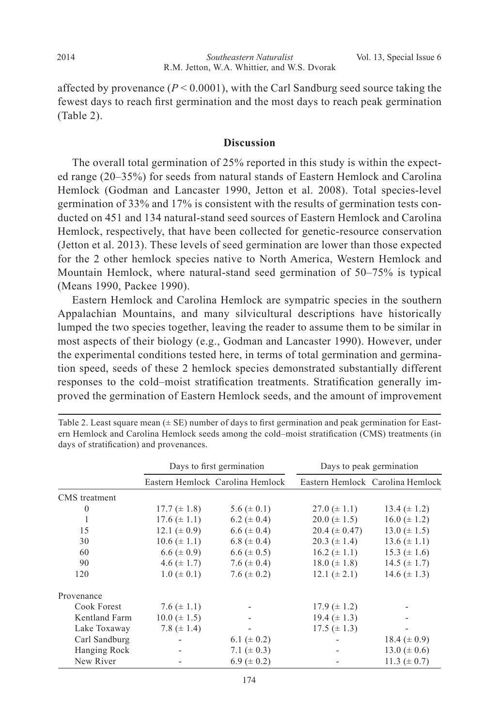affected by provenance ( $P < 0.0001$ ), with the Carl Sandburg seed source taking the fewest days to reach first germination and the most days to reach peak germination (Table 2).

## **Discussion**

The overall total germination of 25% reported in this study is within the expected range  $(20-35%)$  for seeds from natural stands of Eastern Hemlock and Carolina Hemlock (Godman and Lancaster 1990, Jetton et al. 2008). Total species-level germination of 33% and 17% is consistent with the results of germination tests conducted on 451 and 134 natural-stand seed sources of Eastern Hemlock and Carolina Hemlock, respectively, that have been collected for genetic-resource conservation (Jetton et al. 2013). These levels of seed germination are lower than those expected for the 2 other hemlock species native to North America, Western Hemlock and Mountain Hemlock, where natural-stand seed germination of 50–75% is typical (Means 1990, Packee 1990).

 Eastern Hemlock and Carolina Hemlock are sympatric species in the southern Appalachian Mountains, and many silvicultural descriptions have historically lumped the two species together, leaving the reader to assume them to be similar in most aspects of their biology (e.g., Godman and Lancaster 1990). However, under the experimental conditions tested here, in terms of total germination and germination speed, seeds of these 2 hemlock species demonstrated substantially different responses to the cold-moist stratification treatments. Stratification generally improved the germination of Eastern Hemlock seeds, and the amount of improvement

|               | Days to first germination |                                  | Days to peak germination |                                  |  |
|---------------|---------------------------|----------------------------------|--------------------------|----------------------------------|--|
|               |                           | Eastern Hemlock Carolina Hemlock |                          | Eastern Hemlock Carolina Hemlock |  |
| CMS treatment |                           |                                  |                          |                                  |  |
| $\theta$      | $17.7 (\pm 1.8)$          | $5.6 (\pm 0.1)$                  | $27.0 (\pm 1.1)$         | $13.4 (\pm 1.2)$                 |  |
|               | $17.6 (\pm 1.1)$          | 6.2 ( $\pm$ 0.4)                 | $20.0 \ (\pm 1.5)$       | $16.0 \ (\pm 1.2)$               |  |
| 15            | 12.1 ( $\pm$ 0.9)         | $6.6 (\pm 0.4)$                  | $20.4 (\pm 0.47)$        | $13.0 \ (\pm 1.5)$               |  |
| 30            | $10.6 (\pm 1.1)$          | 6.8 ( $\pm$ 0.4)                 | $20.3 (\pm 1.4)$         | $13.6 (\pm 1.1)$                 |  |
| 60            | $6.6 (\pm 0.9)$           | $6.6 (\pm 0.5)$                  | $16.2 \ (\pm 1.1)$       | 15.3 $(\pm 1.6)$                 |  |
| 90            | 4.6 $(\pm 1.7)$           | 7.6 ( $\pm$ 0.4)                 | $18.0 \ (\pm 1.8)$       | 14.5 $(\pm 1.7)$                 |  |
| 120           | $1.0 \ (\pm 0.1)$         | 7.6 ( $\pm$ 0.2)                 | $12.1 (\pm 2.1)$         | 14.6 $(\pm 1.3)$                 |  |
| Provenance    |                           |                                  |                          |                                  |  |
| Cook Forest   | 7.6 $(\pm 1.1)$           |                                  | $17.9 \ (\pm 1.2)$       |                                  |  |
| Kentland Farm | $10.0 \ (\pm 1.5)$        |                                  | 19.4 $(\pm 1.3)$         |                                  |  |
| Lake Toxaway  | 7.8 ( $\pm$ 1.4)          |                                  | $17.5 (\pm 1.3)$         |                                  |  |
| Carl Sandburg |                           | 6.1 ( $\pm$ 0.2)                 |                          | 18.4 $(\pm 0.9)$                 |  |
| Hanging Rock  |                           | 7.1 ( $\pm$ 0.3)                 |                          | 13.0 ( $\pm$ 0.6)                |  |
| New River     |                           | $6.9 \ (\pm 0.2)$                |                          | 11.3 ( $\pm$ 0.7)                |  |

Table 2. Least square mean  $(\pm S\mathbf{E})$  number of days to first germination and peak germination for Eastern Hemlock and Carolina Hemlock seeds among the cold–moist stratification (CMS) treatments (in days of stratification) and provenances.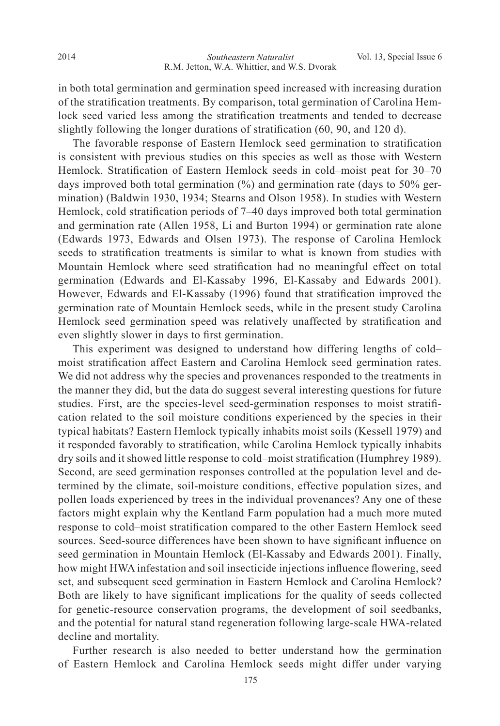in both total germination and germination speed increased with increasing duration of the stratification treatments. By comparison, total germination of Carolina Hemlock seed varied less among the stratification treatments and tended to decrease slightly following the longer durations of stratification  $(60, 90, \text{ and } 120 \text{ d})$ .

The favorable response of Eastern Hemlock seed germination to stratification is consistent with previous studies on this species as well as those with Western Hemlock. Stratification of Eastern Hemlock seeds in cold–moist peat for 30–70 days improved both total germination  $\frac{9}{6}$  and germination rate (days to 50% germination) (Baldwin 1930, 1934; Stearns and Olson 1958). In studies with Western Hemlock, cold stratification periods of 7–40 days improved both total germination and germination rate (Allen 1958, Li and Burton 1994) or germination rate alone (Edwards 1973, Edwards and Olsen 1973). The response of Carolina Hemlock seeds to stratification treatments is similar to what is known from studies with Mountain Hemlock where seed stratification had no meaningful effect on total germination (Edwards and El-Kassaby 1996, El-Kassaby and Edwards 2001). However, Edwards and El-Kassaby (1996) found that stratification improved the germination rate of Mountain Hemlock seeds, while in the present study Carolina Hemlock seed germination speed was relatively unaffected by stratification and even slightly slower in days to first germination.

 This experiment was designed to understand how differing lengths of cold– moist stratification affect Eastern and Carolina Hemlock seed germination rates. We did not address why the species and provenances responded to the treatments in the manner they did, but the data do suggest several interesting questions for future studies. First, are the species-level seed-germination responses to moist stratification related to the soil moisture conditions experienced by the species in their typical habitats? Eastern Hemlock typically inhabits moist soils (Kessell 1979) and it responded favorably to stratification, while Carolina Hemlock typically inhabits dry soils and it showed little response to cold–moist stratification (Humphrey 1989). Second, are seed germination responses controlled at the population level and determined by the climate, soil-moisture conditions, effective population sizes, and pollen loads experienced by trees in the individual provenances? Any one of these factors might explain why the Kentland Farm population had a much more muted response to cold–moist stratification compared to the other Eastern Hemlock seed sources. Seed-source differences have been shown to have significant influence on seed germination in Mountain Hemlock (El-Kassaby and Edwards 2001). Finally, how might HWA infestation and soil insecticide injections influence flowering, seed set, and subsequent seed germination in Eastern Hemlock and Carolina Hemlock? Both are likely to have significant implications for the quality of seeds collected for genetic-resource conservation programs, the development of soil seedbanks, and the potential for natural stand regeneration following large-scale HWA-related decline and mortality.

 Further research is also needed to better understand how the germination of Eastern Hemlock and Carolina Hemlock seeds might differ under varying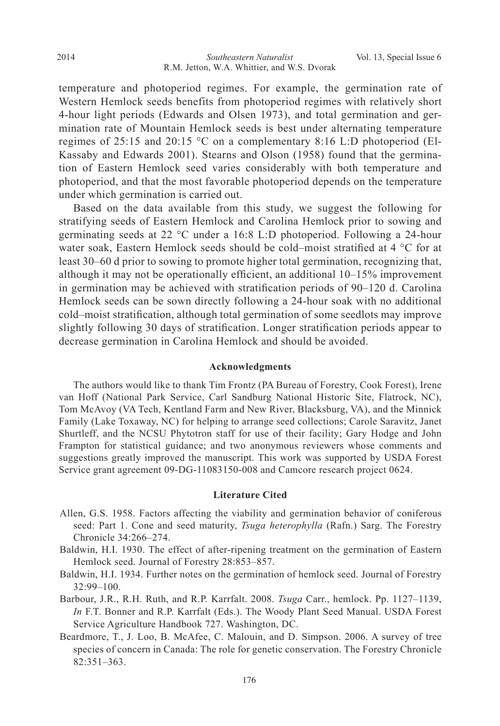temperature and photoperiod regimes. For example, the germination rate of Western Hemlock seeds benefits from photoperiod regimes with relatively short 4-hour light periods (Edwards and Olsen 1973), and total germination and germination rate of Mountain Hemlock seeds is best under alternating temperature regimes of 25:15 and 20:15 °C on a complementary 8:16 L:D photoperiod (El-Kassaby and Edwards 2001). Stearns and Olson (1958) found that the germination of Eastern Hemlock seed varies considerably with both temperature and photoperiod, and that the most favorable photoperiod depends on the temperature under which germination is carried out.

 Based on the data available from this study, we suggest the following for stratifying seeds of Eastern Hemlock and Carolina Hemlock prior to sowing and germinating seeds at 22 °C under a 16:8 L:D photoperiod. Following a 24-hour water soak, Eastern Hemlock seeds should be cold-moist stratified at 4  $\degree$ C for at least 30–60 d prior to sowing to promote higher total germination, recognizing that, although it may not be operationally efficient, an additional  $10-15\%$  improvement in germination may be achieved with stratification periods of 90–120 d. Carolina Hemlock seeds can be sown directly following a 24-hour soak with no additional cold–moist stratification, although total germination of some seedlots may improve slightly following 30 days of stratification. Longer stratification periods appear to decrease germination in Carolina Hemlock and should be avoided.

#### **Acknowledgments**

The authors would like to thank Tim Frontz (PA Bureau of Forestry, Cook Forest), Irene van Hoff (National Park Service, Carl Sandburg National Historic Site, Flatrock, NC), Tom McAvoy (VA Tech, Kentland Farm and New River, Blacksburg, VA), and the Minnick Family (Lake Toxaway, NC) for helping to arrange seed collections; Carole Saravitz, Janet Shurtleff, and the NCSU Phytotron staff for use of their facility; Gary Hodge and John Frampton for statistical guidance; and two anonymous reviewers whose comments and suggestions greatly improved the manuscript. This work was supported by USDA Forest Service grant agreement 09-DG-11083150-008 and Camcore research project 0624.

#### **Literature Cited**

- Allen, G.S. 1958. Factors affecting the viability and germination behavior of coniferous seed: Part 1. Cone and seed maturity, *Tsuga heterophylla* (Rafn.) Sarg. The Forestry Chronicle 34:266-274.
- Baldwin, H.I. 1930. The effect of after-ripening treatment on the germination of Eastern Hemlock seed. Journal of Forestry 28:853-857.
- Baldwin, H.I. 1934. Further notes on the germination of hemlock seed. Journal of Forestry  $32:99 - 100.$
- Barbour, J.R., R.H. Ruth, and R.P. Karrfalt. 2008. Tsuga Carr., hemlock. Pp. 1127-1139, *In* F.T. Bonner and R.P. Karrfalt (Eds.). The Woody Plant Seed Manual. USDA Forest Service Agriculture Handbook 727. Washington, DC.
- Beardmore, T., J. Loo, B. McAfee, C. Malouin, and D. Simpson. 2006. A survey of tree species of concern in Canada: The role for genetic conservation. The Forestry Chronicle  $82:351 - 363$ .